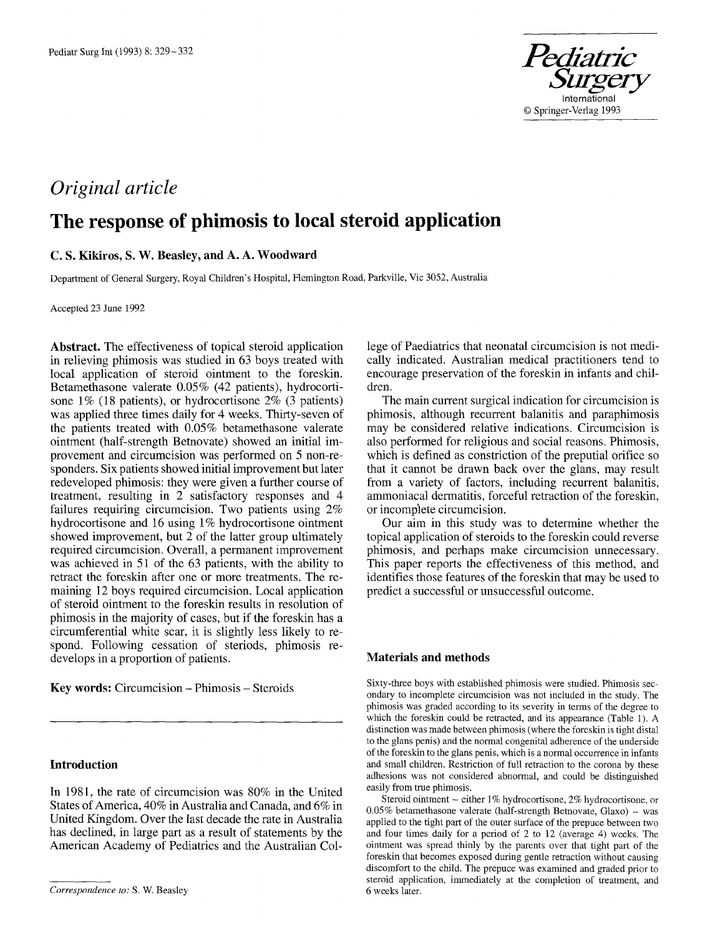

# *Original article*

# **The response of phimosis to local steroid application**

## **C. S. Kikiros, S. W. Beasley, and A. A. Woodward**

Department of General Surgery, Royal Children's Hospital, Flemington Road, Parkville, Vic 3052, Australia

Accepted 23 June 1992

**Abstract.** The effectiveness of topical steroid application in relieving phimosis was studied in 63 boys treated with local application of steroid ointment to the foreskin. Betamethasone valerate 0.05% (42 patients), hydrocortisone 1% (18 patients), or hydrocortisone 2% (3 patients) was applied three times daily for 4 weeks. Thirty-seven of the patients treated with 0.05% betamethasone valerate ointment (half-strength Betnovate) showed an initial improvement and circumcision was performed on 5 non-respenders. Six patients showed initial improvement but later redeveloped phimosis: they were given a further course of treatment, resulting in 2 satisfactory responses and 4 failures requiring circumcision. Two patients using 2% hydrocortisone and 16 using 1% hydrocortisone ointment showed improvement, but 2 of the latter group ultimately required circumcision. Overall, a permanent improvement was achieved in 51 of the 63 patients, with the ability to retract the foreskin after one or more treatments. The remaining 12 boys required circumcision. Local application of steroid ointment to the foreskin results in resolution of phimosis in the majority of cases, but if the foreskin has a circumferential white scar, it is slightly less likely to respond. Following cessation of steriods, phimosis redevelops in a proportion of patients.

**Key words:** Circumcision - Phimosis - Steroids

## **Introduction**

In 1981, the rate of circumcision was 80% in the United States of America, 40% in Australia and Canada, and 6% in United Kingdom. Over the last decade the rate in Australia has declined, in large part as a result of statements by the American Academy of Pediatrics and the Australian **Col-** lege of Paediatrics that neonatal circumcision is not medically indicated. Australian medical practitioners tend to encourage preservation of the foreskin in infants and children.

The main current surgical indication for circumcision is phimosis, although recurrent balanitis and paraphimosis may be considered relative indications. Circumcision is also performed for religious and social reasons. Phimosis, which is defined as constriction of the preputial orifice so that it cannot be drawn back over the glans, may result from a variety of factors, including recurrent balanitis, ammoniacal dermatitis, forceful retraction of the foreskin, or incomplete circumcision.

Our aim in this study was to determine whether the topical application of steroids to the foreskin could reverse phimosis, and perhaps make circumcision unnecessary. This paper reports the effectiveness of this method, and identifies those features of the foreskin that may be used to predict a successful or unsuccessful outcome.

## **Materials and methods**

Sixty-three boys with established phimosis were studied. Phimosis secondary to incomplete circumcision was not included in the study. The phimosis was graded according to its severity in terms of the degree to which the foreskin could be retracted, and its appearance (Table 1). A distinction was made between phimosis (where the foreskin is tight distal to the glans penis) and the normal congenital adherence of the underside of the foreskin to the glans penis, which is a normal occurrence in infants and small children. Restriction of full retraction to the corona by these adhesions was not considered abnormal, and could be distinguished easily from true phimosis.

Steroid ointment - either 1% hydrocortisone, 2% hydrocortisone, or 0.05% betamethasone valerate (half-strength Betnovate, Glaxo) – was applied to the tight part of the outer surface of the prepuce between two and four times daily for a period of 2 to 12 (average 4) weeks. The ointment was spread thinly by the parents over that tight part of the foreskin that becomes exposed during gentle retraction without causing discomfort to the child. The prepuce was examined and graded prior to steroid application, immediately at the completion of treatment, and 6 weeks later.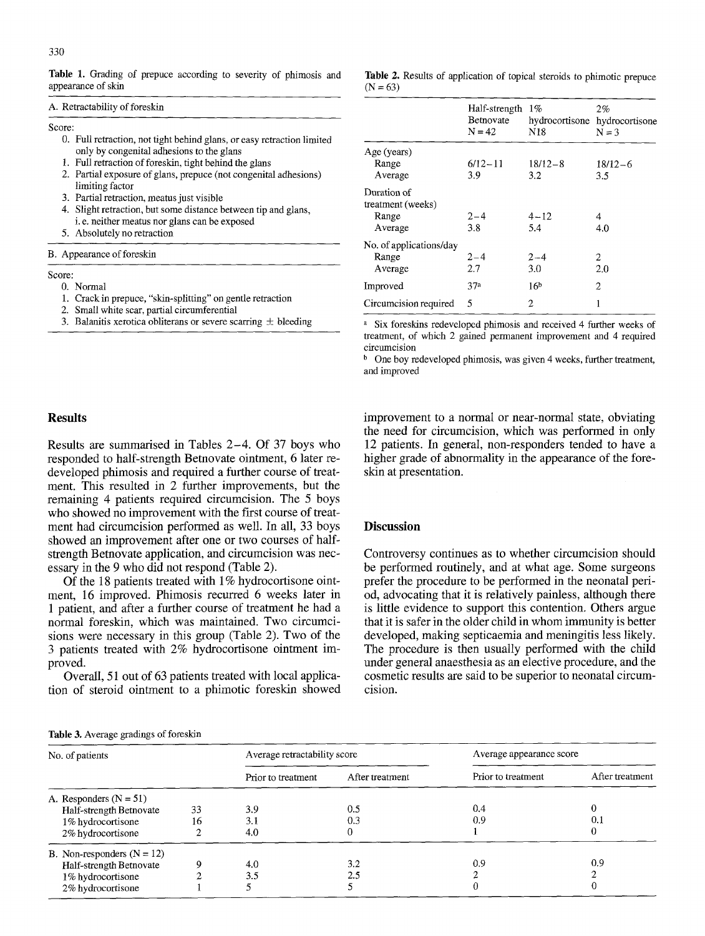Table 1. Grading of prepuce according to severity of phimosis and appearance of skin

#### A. Retractability of foreskin

#### Score:

- 0. Full retraction, not tight behind glans, or easy retraction limited only by congenital adhesions to the glans
- 1. Full retraction of foreskin, tight behind the glans
- 2. Partial exposure of glans, prepuce (not congenital adhesions) limiting factor
- 3. Partial retraction, meatus just visible
- 4. Slight retraction, but some distance between tip and glans, i. e. neither meatus nor glans can be exposed
- 5. Absolutely no retraction

#### B. Appearance of foreskin

## Score:

- 0. Normal
- 1. Crack in prepuce, "skin-splitting" on gentle retraction
- 2. Small white scar, partial circumferential
- 3. Balanitis xerotica obliterans or severe scarring  $\pm$  bleeding

#### Table 2. Results of application of topical steroids to phimotic prepuce  $(N = 63)$

|                                                      | Half-strength<br>Betnovate<br>$N = 42$ | 1%<br>N18          | 2%<br>hydrocortisone hydrocortisone<br>$N = 3$ |
|------------------------------------------------------|----------------------------------------|--------------------|------------------------------------------------|
| Age (years)<br>Range<br>Average                      | $6/12 - 11$<br>3.9                     | $18/12 - 8$<br>3.2 | $18/12-6$<br>3.5                               |
| Duration of<br>treatment (weeks)<br>Range<br>Average | $2 - 4$<br>3.8                         | $4 - 12$<br>5.4    | 4<br>4.0                                       |
| No. of applications/day<br>Range<br>Average          | $2 - 4$<br>2.7                         | $2 - 4$<br>3.0     | 2<br>2.0                                       |
| Improved                                             | 37a                                    | 16 <sup>b</sup>    | 2                                              |
| Circumcision required                                | 5                                      | 2                  | 1                                              |

a Six foreskins redeveloped phimosis and received 4 further weeks of treatment, of which 2 gained permanent improvement and 4 required circumcision

 $<sup>b</sup>$  One boy redeveloped phimosis, was given 4 weeks, further treatment,</sup> and improved

### **Resets**

Results are summarised in Tables 2-4. Of 37 boys who responded to half-strength Betnovate ointment, 6 later redeveloped phimosis and required a further course of treatment. This resulted in 2 further improvements, but the remaining 4 patients required circumcision. The 5 boys who showed no improvement with the first course of treatment had circumcision performed as well. In all, 33 boys showed an improvement after one or two courses of halfstrength Betnovate application, and circumcision was necessary in the 9 who did not respond (Table 2).

Of the 18 patients treated with 1% hydrocortisone ointment, 16 improved. Phimosis recurred 6 weeks later in 1 patient, and after a further course of treatment he had a normal foreskin, which was maintained. Two circumcisions were necessary in this group (Table 2). Two of the 3 patients treated with 2% hydrocortisone ointment improved.

Overall, 51 out of 63 patients treated with local application of steroid ointment to a phimotic foreskin showed improvement to a normal or near-normal state, obviating the need for circumcision, which was performed in only 12 patients. In general, non-responders tended to have a higher grade of abnormality in the appearance of the foreskin at presentation.

## **Discussion**

Controversy continues as to whether circumcision should be performed routinely, and at what age. Some surgeons prefer the procedure to be performed in the neonatal period, advocating that it is relatively painless, although there is little evidence to support this contention. Others argue that it is safer in the older child in whom immunity is better developed, making septicaemia and meningitis less likely. The procedure is then usually performed with the child under general anaesthesia as an elective procedure, and the cosmetic results are said to be superior to neonatal circumcision.

#### **Table** 3, Average gradings of foreskin

| No. of patients          |                                                                                                   | Average retractability score |                    | Average appearance score |                    |                 |
|--------------------------|---------------------------------------------------------------------------------------------------|------------------------------|--------------------|--------------------------|--------------------|-----------------|
|                          |                                                                                                   |                              | Prior to treatment | After treatment          | Prior to treatment | After treatment |
| A. Responders $(N = 51)$ | Half-strength Betnovate<br>1% hydrocortisone<br>2% hydrocortisone                                 | 33<br>16                     | 3.9<br>3.1<br>4.0  | 0.5<br>0.3               | 0.4<br>0.9         | 0.1             |
|                          | B. Non-responders $(N = 12)$<br>Half-strength Betnovate<br>1% hydrocortisone<br>2% hydrocortisone | Q                            | 4.0<br>3.5         | 3.2<br>2.5               | 0.9                | 0.9             |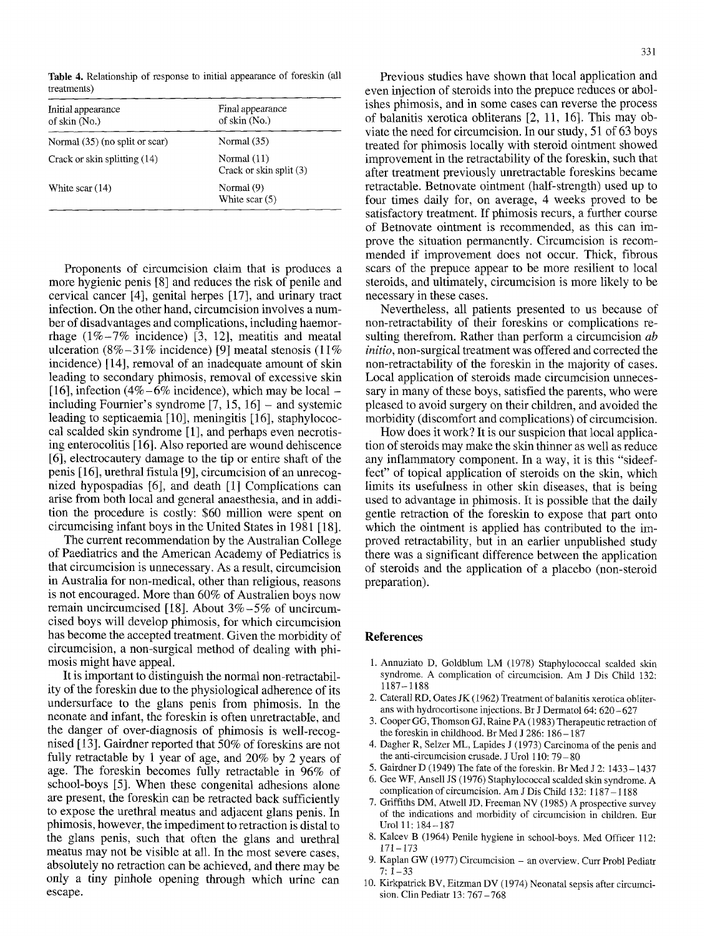**Table** 4. Relationship of response to initial appearance of foreskin (all treatments)

| Initial appearance<br>of skin (No.) | Final appearance<br>of skin (No.)        |  |  |
|-------------------------------------|------------------------------------------|--|--|
| Normal (35) (no split or scar)      | Normal $(35)$                            |  |  |
| Crack or skin splitting (14)        | Normal $(11)$<br>Crack or skin split (3) |  |  |
| White scar $(14)$                   | Normal (9)<br>White scar (5)             |  |  |

Proponents of circumcision claim that is produces a more hygienic penis [8] and reduces the risk of penile and cervical cancer [4], genital herpes [17], and urinary tract infection. On the other hand, circumcision involves a number of disadvantages and complications, including haemorrhage  $(1\% - 7\%$  incidence) [3, 12], meatitis and meatal ulceration (8% $-31\%$  incidence) [9] meatal stenosis (11%) incidence) [14], removal of an inadequate amount of skin leading to secondary phimosis, removal of excessive skin [16], infection (4%-6% incidence), which may be local  $$ including Fournier's syndrome  $[7, 15, 16]$  – and systemic leading to septicaemia [10], meningitis [16], staphylococcal scalded skin syndrome [1], and perhaps even necrotising enterocolitis [16]. Also reported are wound dehiscence [6], electrocautery damage to the tip or entire shaft of the penis [ 16], urethral fistula [9], circumcision of an unrecognized hypospadias [6], and death [1] Complications can arise from both local and general anaesthesia, and in addition the procedure is costly: \$60 million were spent on circumcising infant boys in the United States in 1981 [18].

The current recommendation by the Australian College of Paediatrics and the American Academy of Pediatrics is that circumcision is unnecessary. As a result, circumcision in Australia for non-medical, other than religious, reasons is not encouraged. More than 60% of Australien boys now remain uncircumcised [18]. About 3%-5% of uncircumcised boys will develop phimosis, for which circumcision has become the accepted treatment. Given the morbidity of circumcision, a non-surgical method of dealing with phimosis might have appeal.

It is important to distinguish the normal non-retractability of the foreskin due to the physiological adherence of its undersurface to the glans penis from phimosis. In the neonate and infant, the foreskin is often unretractable, and the danger of over-diagnosis of phimosis is well-recognised [ 13]. Gairdner reported that 50% of foreskins are not fully retractable by 1 year of age, and 20% by 2 years of age. The foreskin becomes fully retractable in 96% of school-boys [5]. When these congenital adhesions alone are present, the foreskin can be retracted back sufficiently to expose the urethral meatus and adjacent glans penis. In phimosis, however, the impediment to retraction is distal to the glans penis, such that often the glans and urethral meatus may not be visible at all. In the most severe cases, absolutely no retraction can be achieved, and there may be only a tiny pinhole opening through which urine can escape.

Previous studies have shown that local application and even injection of steroids into the prepuce reduces or abolishes phimosis, and in some cases can reverse the process of balanitis xerotica obliterans [2, 11, 16]. This may obviate the need for circumcision. In our study, 51 of 63 boys treated for phimosis locally with steroid ointment showed improvement in the retractability of the foreskin, such that after treatment previously unretractable foreskins became retractable. Betnovate ointment (half-strength) used up to four times daily for, on average, 4 weeks proved to be satisfactory treatment. If phimosis recurs, a further course of Betnovate ointment is recommended, as this can improve the situation permanently. Circumcision is recommended if improvement does not occur. Thick, fibrous scars of the prepuce appear to be more resilient to local steroids, and ultimately, circumcision is more likely to be necessary in these cases.

Nevertheless, all patients presented to us because of non-retractability of their foreskins or complications resulting therefrom. Rather than perform a circumcision *ab initio,* non-surgical treatment was offered and corrected the non-retractability of the foreskin in the majority of cases. Local application of steroids made circumcision unnecessary in many of these boys, satisfied the parents, who were pleased to avoid surgery on their children, and avoided the morbidity (discomfort and complications) of circumcision.

How does it work? It is our suspicion that local application of steroids may make the skin thinner as well as reduce any inflammatory component. In a way, it is this "sideeffect" of topical application of steroids on the skin, which limits its usefulness in other skin diseases, that is being used to advantage in phimosis. It is possible that the daily gentle retraction of the foreskin to expose that part onto which the ointment is applied has contributed to the improved retractability, but in an earlier unpublished study there was a significant difference between the application of steroids and the application of a placebo (non-steroid preparation).

## **References**

- 1. Annuziato D, Goldblum LM (1978) Staphylococcal scalded skin syndrome. A complication of circumcision. Am J Dis Child 132: 1187-1188
- 2. Caterall RD, Oates JK (1962) Treatment of balanitis xerotica obliterans with hydrocortisone injections. Br J Dermatol 64: 620-627
- 3. Cooper GG, Thomson GJ, Raine PA (1983) Therapeutic retraction of the foreskin in childhood. Br Med J 286:  $186 - 187$
- 4. Dagher R, Selzer ML, Lapides J (1973) Carcinoma of the penis and the anti-circumcision crusade. J Urol 110: 79- 80
- 5. Galrdner D (1949) The fate of the foreskin. Br Med J 2:1433 1437
- 6. Gee WF, Ansell JS (1976) Staphylococcal scalded skin syndrome. A complication of circumcision. Am J Dis Child 132: 1187 - 1188
- 7. Griffiths DM, Atwell JD, Freeman NV (1985) A prospective survey of the indications and morbidity of circumcision in children. Eur Urol 11:184-187
- 8. Kalcev B (1964) Penile hygiene in school-boys. Med Officer 112:  $171 - 173$
- 9. Kaplan GW (1977) Circumcision an overview. Curr Probl Pediatr  $7:1-33$
- 10. Kirkpatrick BV, Eitzman DV (1974) Neonatal sepsis after circumcision. Clin Pediatr 13: 767-768